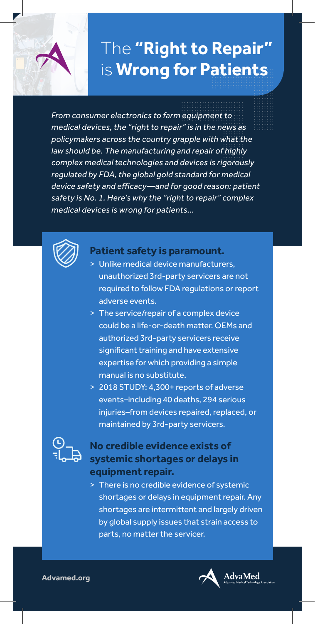# The **"Right to Repair"** is **Wrong for Patients**

*From consumer electronics to farm equipment to medical devices, the "right to repair" is in the news as policymakers across the country grapple with what the law should be. The manufacturing and repair of highly complex medical technologies and devices is rigorously regulated by FDA, the global gold standard for medical device safety and efficacy—and for good reason: patient safety is No. 1. Here's why the "right to repair" complex medical devices is wrong for patients...* 



#### **Patient safety is paramount.**

- > Unlike medical device manufacturers, unauthorized 3rd-party servicers are not required to follow FDA requlations or report adverse events.
- > The service/repair of a complex device could be a life-or-death matter. OEMs and authorized 3rd-party servicers receive significant training and have extensive expertise for which providing a simple manual is no substitute.
- > 2018 STUDY: 4,300+ reports of adverse events–including 40 deaths, 294 serious injuries-from devices repaired, replaced, or maintained by 3rd-party servicers.



### **No credible evidence exists of systemic shortages or delays in equipment repair.**

 > There is no credible evidence of systemic shortages or delays in equipment repair. Any shortages are intermittent and largely driven by global supply issues that strain access to parts, no matter the servicer.



**Advamed.org**